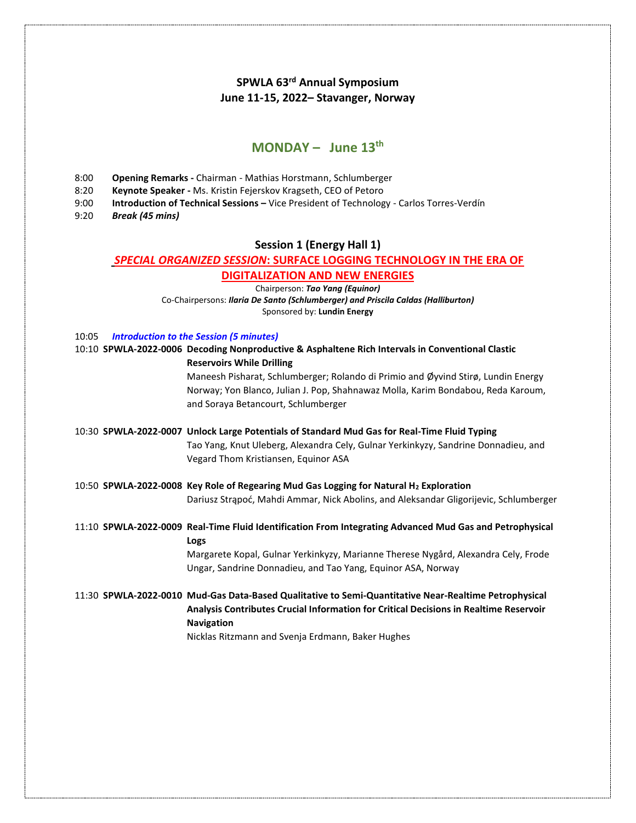# **SPWLA 63 rd Annual Symposium June 11-15, 2022– Stavanger, Norway**

# **MONDAY – June 13th**

- 8:00 **Opening Remarks -** Chairman Mathias Horstmann, Schlumberger
- 8:20 **Keynote Speaker -** Ms. Kristin Fejerskov Kragseth, CEO of Petoro
- 9:00 **Introduction of Technical Sessions –** Vice President of Technology Carlos Torres-Verdín
- 9:20 *Break (45 mins)*

### **Session 1 (Energy Hall 1)**

### *SPECIAL ORGANIZED SESSION***: SURFACE LOGGING TECHNOLOGY IN THE ERA OF**

#### **DIGITALIZATION AND NEW ENERGIES**

Chairperson: *Tao Yang (Equinor)* Co-Chairpersons: *Ilaria De Santo (Schlumberger) and Priscila Caldas (Halliburton)*

Sponsored by: **Lundin Energy**

| 10:05 | <b>Introduction to the Session (5 minutes)</b> |  |  |  |
|-------|------------------------------------------------|--|--|--|
|-------|------------------------------------------------|--|--|--|

|  | 10:10 SPWLA-2022-0006 Decoding Nonproductive & Asphaltene Rich Intervals in Conventional Clastic<br><b>Reservoirs While Drilling</b>               |
|--|----------------------------------------------------------------------------------------------------------------------------------------------------|
|  | Maneesh Pisharat, Schlumberger; Rolando di Primio and Øyvind Stirø, Lundin Energy                                                                  |
|  | Norway; Yon Blanco, Julian J. Pop, Shahnawaz Molla, Karim Bondabou, Reda Karoum,<br>and Soraya Betancourt, Schlumberger                            |
|  | 10:30 SPWLA-2022-0007 Unlock Large Potentials of Standard Mud Gas for Real-Time Fluid Typing                                                       |
|  | Tao Yang, Knut Uleberg, Alexandra Cely, Gulnar Yerkinkyzy, Sandrine Donnadieu, and<br>Vegard Thom Kristiansen, Equinor ASA                         |
|  | 10:50 SPWLA-2022-0008 Key Role of Regearing Mud Gas Logging for Natural H2 Exploration                                                             |
|  | Dariusz Strąpoć, Mahdi Ammar, Nick Abolins, and Aleksandar Gligorijevic, Schlumberger                                                              |
|  | 11:10 SPWLA-2022-0009 Real-Time Fluid Identification From Integrating Advanced Mud Gas and Petrophysical<br>Logs                                   |
|  | Margarete Kopal, Gulnar Yerkinkyzy, Marianne Therese Nygård, Alexandra Cely, Frode<br>Ungar, Sandrine Donnadieu, and Tao Yang, Equinor ASA, Norway |
|  | 11:30 SPWLA-2022-0010 Mud-Gas Data-Based Qualitative to Semi-Quantitative Near-Realtime Petrophysical                                              |
|  | Analysis Contributes Crucial Information for Critical Decisions in Realtime Reservoir<br><b>Navigation</b>                                         |
|  | Nicklas Ritzmann and Svenja Erdmann, Baker Hughes                                                                                                  |
|  |                                                                                                                                                    |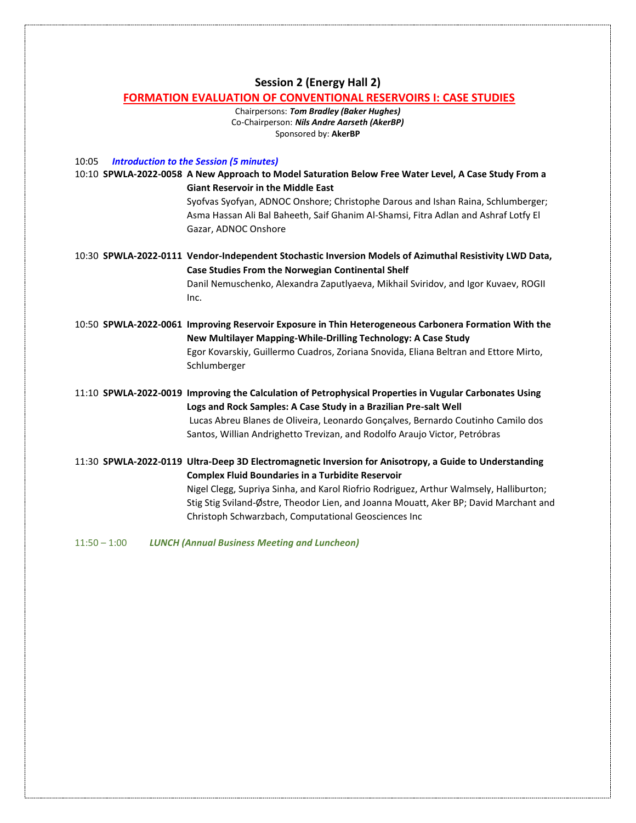#### **Session 2 (Energy Hall 2)**

#### **FORMATION EVALUATION OF CONVENTIONAL RESERVOIRS I: CASE STUDIES**

Chairpersons: *Tom Bradley (Baker Hughes)* Co-Chairperson: *Nils Andre Aarseth (AkerBP)* Sponsored by: **AkerBP**

10:05 *Introduction to the Session (5 minutes)*

10:10 **SPWLA-2022-0058 A New Approach to Model Saturation Below Free Water Level, A Case Study From a Giant Reservoir in the Middle East**

Syofvas Syofyan, ADNOC Onshore; Christophe Darous and Ishan Raina, Schlumberger; Asma Hassan Ali Bal Baheeth, Saif Ghanim Al-Shamsi, Fitra Adlan and Ashraf Lotfy El Gazar, ADNOC Onshore

10:30 **SPWLA-2022-0111 Vendor-Independent Stochastic Inversion Models of Azimuthal Resistivity LWD Data, Case Studies From the Norwegian Continental Shelf** Danil Nemuschenko, Alexandra Zaputlyaeva, Mikhail Sviridov, and Igor Kuvaev, ROGII Inc.

10:50 **SPWLA-2022-0061 Improving Reservoir Exposure in Thin Heterogeneous Carbonera Formation With the New Multilayer Mapping-While-Drilling Technology: A Case Study** Egor Kovarskiy, Guillermo Cuadros, Zoriana Snovida, Eliana Beltran and Ettore Mirto, Schlumberger

11:10 **SPWLA-2022-0019 Improving the Calculation of Petrophysical Properties in Vugular Carbonates Using Logs and Rock Samples: A Case Study in a Brazilian Pre-salt Well** Lucas Abreu Blanes de Oliveira, Leonardo Gonçalves, Bernardo Coutinho Camilo dos Santos, Willian Andrighetto Trevizan, and Rodolfo Araujo Victor, Petróbras

11:30 **SPWLA-2022-0119 Ultra-Deep 3D Electromagnetic Inversion for Anisotropy, a Guide to Understanding Complex Fluid Boundaries in a Turbidite Reservoir** Nigel Clegg, Supriya Sinha, and Karol Riofrio Rodriguez, Arthur Walmsely, Halliburton; Stig Stig Sviland-Østre, Theodor Lien, and Joanna Mouatt, Aker BP; David Marchant and Christoph Schwarzbach, Computational Geosciences Inc

11:50 – 1:00 *LUNCH (Annual Business Meeting and Luncheon)*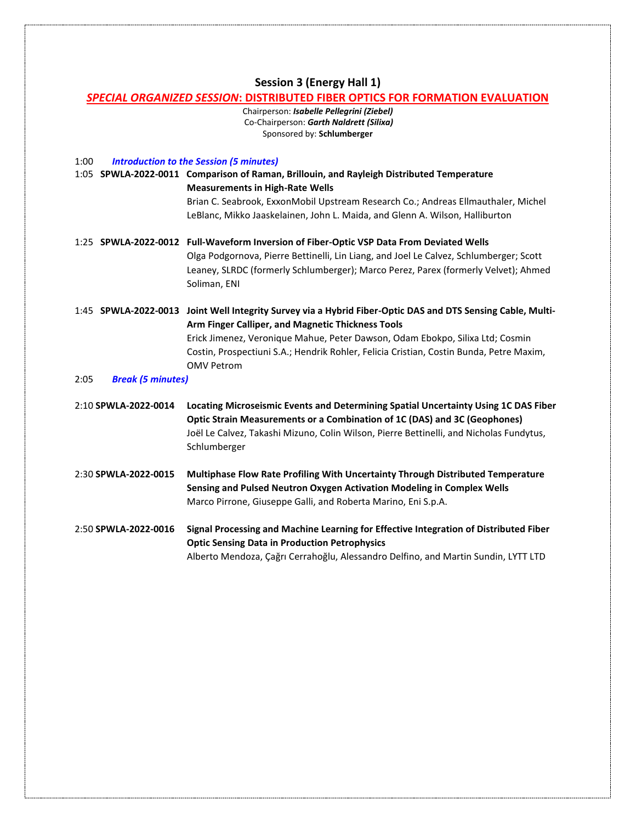### **Session 3 (Energy Hall 1)**

#### *SPECIAL ORGANIZED SESSION***: DISTRIBUTED FIBER OPTICS FOR FORMATION EVALUATION**

Chairperson: *Isabelle Pellegrini (Ziebel)* Co-Chairperson: *Garth Naldrett (Silixa)* Sponsored by: **Schlumberger**

1:00 *Introduction to the Session (5 minutes)* 1:05 **SPWLA-2022-0011 Comparison of Raman, Brillouin, and Rayleigh Distributed Temperature Measurements in High-Rate Wells** Brian C. Seabrook, ExxonMobil Upstream Research Co.; Andreas Ellmauthaler, Michel LeBlanc, Mikko Jaaskelainen, John L. Maida, and Glenn A. Wilson, Halliburton 1:25 **SPWLA-2022-0012 Full-Waveform Inversion of Fiber-Optic VSP Data From Deviated Wells**  Olga Podgornova, Pierre Bettinelli, Lin Liang, and Joel Le Calvez, Schlumberger; Scott Leaney, SLRDC (formerly Schlumberger); Marco Perez, Parex (formerly Velvet); Ahmed Soliman, ENI 1:45 **SPWLA-2022-0013 Joint Well Integrity Survey via a Hybrid Fiber-Optic DAS and DTS Sensing Cable, Multi-Arm Finger Calliper, and Magnetic Thickness Tools** Erick Jimenez, Veronique Mahue, Peter Dawson, Odam Ebokpo, Silixa Ltd; Cosmin Costin, Prospectiuni S.A.; Hendrik Rohler, Felicia Cristian, Costin Bunda, Petre Maxim, OMV Petrom 2:05 *Break (5 minutes)* 2:10 **SPWLA-2022-0014 Locating Microseismic Events and Determining Spatial Uncertainty Using 1C DAS Fiber Optic Strain Measurements or a Combination of 1C (DAS) and 3C (Geophones)** Joël Le Calvez, Takashi Mizuno, Colin Wilson, Pierre Bettinelli, and Nicholas Fundytus, Schlumberger 2:30 **SPWLA-2022-0015 Multiphase Flow Rate Profiling With Uncertainty Through Distributed Temperature Sensing and Pulsed Neutron Oxygen Activation Modeling in Complex Wells** Marco Pirrone, Giuseppe Galli, and Roberta Marino, Eni S.p.A. 2:50 **SPWLA-2022-0016 Signal Processing and Machine Learning for Effective Integration of Distributed Fiber Optic Sensing Data in Production Petrophysics**

Alberto Mendoza, Çağrı Cerrahoğlu, Alessandro Delfino, and Martin Sundin, LYTT LTD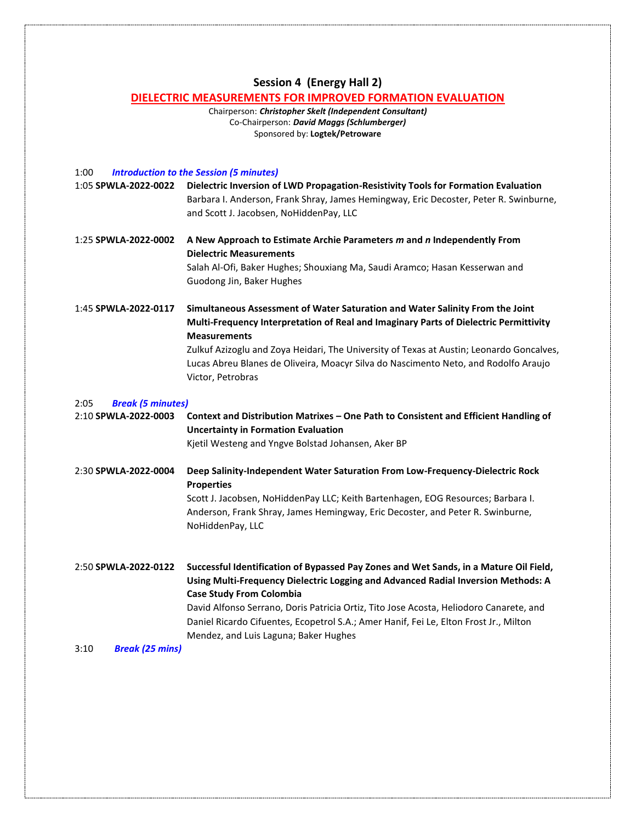# **Session 4 (Energy Hall 2)**

# **DIELECTRIC MEASUREMENTS FOR IMPROVED FORMATION EVALUATION**

Chairperson: *Christopher Skelt (Independent Consultant)* Co-Chairperson: *David Maggs (Schlumberger)* Sponsored by: **Logtek/Petroware**

| <b>Introduction to the Session (5 minutes)</b><br>1:00   |                                                                                                                                                                                                                                                                                                                                                                                                                                           |
|----------------------------------------------------------|-------------------------------------------------------------------------------------------------------------------------------------------------------------------------------------------------------------------------------------------------------------------------------------------------------------------------------------------------------------------------------------------------------------------------------------------|
| 1:05 SPWLA-2022-0022                                     | Dielectric Inversion of LWD Propagation-Resistivity Tools for Formation Evaluation<br>Barbara I. Anderson, Frank Shray, James Hemingway, Eric Decoster, Peter R. Swinburne,<br>and Scott J. Jacobsen, NoHiddenPay, LLC                                                                                                                                                                                                                    |
| 1:25 SPWLA-2022-0002                                     | A New Approach to Estimate Archie Parameters m and n Independently From<br><b>Dielectric Measurements</b><br>Salah Al-Ofi, Baker Hughes; Shouxiang Ma, Saudi Aramco; Hasan Kesserwan and<br>Guodong Jin, Baker Hughes                                                                                                                                                                                                                     |
| 1:45 SPWLA-2022-0117                                     | Simultaneous Assessment of Water Saturation and Water Salinity From the Joint<br>Multi-Frequency Interpretation of Real and Imaginary Parts of Dielectric Permittivity<br><b>Measurements</b><br>Zulkuf Azizoglu and Zoya Heidari, The University of Texas at Austin; Leonardo Goncalves,<br>Lucas Abreu Blanes de Oliveira, Moacyr Silva do Nascimento Neto, and Rodolfo Araujo<br>Victor, Petrobras                                     |
| 2:05<br><b>Break (5 minutes)</b><br>2:10 SPWLA-2022-0003 | Context and Distribution Matrixes - One Path to Consistent and Efficient Handling of<br><b>Uncertainty in Formation Evaluation</b><br>Kjetil Westeng and Yngve Bolstad Johansen, Aker BP                                                                                                                                                                                                                                                  |
| 2:30 SPWLA-2022-0004                                     | Deep Salinity-Independent Water Saturation From Low-Frequency-Dielectric Rock<br><b>Properties</b><br>Scott J. Jacobsen, NoHiddenPay LLC; Keith Bartenhagen, EOG Resources; Barbara I.<br>Anderson, Frank Shray, James Hemingway, Eric Decoster, and Peter R. Swinburne,<br>NoHiddenPay, LLC                                                                                                                                              |
| 2:50 SPWLA-2022-0122                                     | Successful Identification of Bypassed Pay Zones and Wet Sands, in a Mature Oil Field,<br>Using Multi-Frequency Dielectric Logging and Advanced Radial Inversion Methods: A<br><b>Case Study From Colombia</b><br>David Alfonso Serrano, Doris Patricia Ortiz, Tito Jose Acosta, Heliodoro Canarete, and<br>Daniel Ricardo Cifuentes, Ecopetrol S.A.; Amer Hanif, Fei Le, Elton Frost Jr., Milton<br>Mendez, and Luis Laguna; Baker Hughes |
| 3:10<br><b>Break (25 mins)</b>                           |                                                                                                                                                                                                                                                                                                                                                                                                                                           |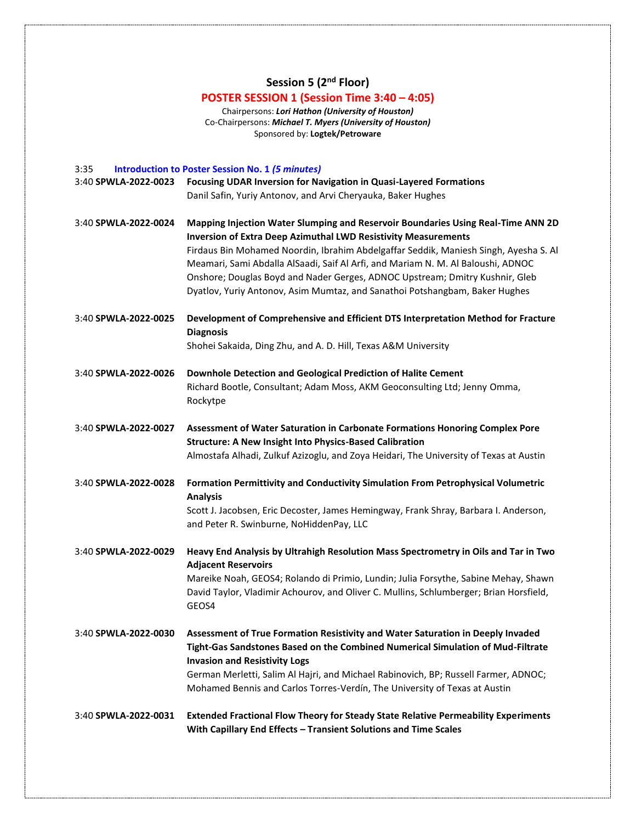**Session 5 (2nd Floor)**

# **POSTER SESSION 1 (Session Time 3:40 – 4:05)**

Chairpersons: *Lori Hathon (University of Houston)* Co-Chairpersons: *Michael T. Myers (University of Houston)* Sponsored by: **Logtek/Petroware**

| 3:35                 | <b>Introduction to Poster Session No. 1 (5 minutes)</b>                                                                                                                  |
|----------------------|--------------------------------------------------------------------------------------------------------------------------------------------------------------------------|
| 3:40 SPWLA-2022-0023 | Focusing UDAR Inversion for Navigation in Quasi-Layered Formations                                                                                                       |
|                      | Danil Safin, Yuriy Antonov, and Arvi Cheryauka, Baker Hughes                                                                                                             |
| 3:40 SPWLA-2022-0024 | Mapping Injection Water Slumping and Reservoir Boundaries Using Real-Time ANN 2D<br><b>Inversion of Extra Deep Azimuthal LWD Resistivity Measurements</b>                |
|                      |                                                                                                                                                                          |
|                      | Firdaus Bin Mohamed Noordin, Ibrahim Abdelgaffar Seddik, Maniesh Singh, Ayesha S. Al<br>Meamari, Sami Abdalla AlSaadi, Saif Al Arfi, and Mariam N. M. Al Baloushi, ADNOC |
|                      | Onshore; Douglas Boyd and Nader Gerges, ADNOC Upstream; Dmitry Kushnir, Gleb                                                                                             |
|                      | Dyatlov, Yuriy Antonov, Asim Mumtaz, and Sanathoi Potshangbam, Baker Hughes                                                                                              |
|                      |                                                                                                                                                                          |
| 3:40 SPWLA-2022-0025 | Development of Comprehensive and Efficient DTS Interpretation Method for Fracture<br><b>Diagnosis</b>                                                                    |
|                      | Shohei Sakaida, Ding Zhu, and A. D. Hill, Texas A&M University                                                                                                           |
|                      |                                                                                                                                                                          |
| 3:40 SPWLA-2022-0026 | Downhole Detection and Geological Prediction of Halite Cement                                                                                                            |
|                      | Richard Bootle, Consultant; Adam Moss, AKM Geoconsulting Ltd; Jenny Omma,                                                                                                |
|                      | Rockytpe                                                                                                                                                                 |
| 3:40 SPWLA-2022-0027 | Assessment of Water Saturation in Carbonate Formations Honoring Complex Pore                                                                                             |
|                      | <b>Structure: A New Insight Into Physics-Based Calibration</b>                                                                                                           |
|                      | Almostafa Alhadi, Zulkuf Azizoglu, and Zoya Heidari, The University of Texas at Austin                                                                                   |
|                      |                                                                                                                                                                          |
| 3:40 SPWLA-2022-0028 | Formation Permittivity and Conductivity Simulation From Petrophysical Volumetric<br><b>Analysis</b>                                                                      |
|                      | Scott J. Jacobsen, Eric Decoster, James Hemingway, Frank Shray, Barbara I. Anderson,                                                                                     |
|                      | and Peter R. Swinburne, NoHiddenPay, LLC                                                                                                                                 |
| 3:40 SPWLA-2022-0029 | Heavy End Analysis by Ultrahigh Resolution Mass Spectrometry in Oils and Tar in Two                                                                                      |
|                      | <b>Adjacent Reservoirs</b>                                                                                                                                               |
|                      | Mareike Noah, GEOS4; Rolando di Primio, Lundin; Julia Forsythe, Sabine Mehay, Shawn                                                                                      |
|                      | David Taylor, Vladimir Achourov, and Oliver C. Mullins, Schlumberger; Brian Horsfield,                                                                                   |
|                      | GEOS4                                                                                                                                                                    |
|                      |                                                                                                                                                                          |
| 3:40 SPWLA-2022-0030 | Assessment of True Formation Resistivity and Water Saturation in Deeply Invaded<br>Tight-Gas Sandstones Based on the Combined Numerical Simulation of Mud-Filtrate       |
|                      | <b>Invasion and Resistivity Logs</b>                                                                                                                                     |
|                      | German Merletti, Salim Al Hajri, and Michael Rabinovich, BP; Russell Farmer, ADNOC;                                                                                      |
|                      | Mohamed Bennis and Carlos Torres-Verdín, The University of Texas at Austin                                                                                               |
|                      |                                                                                                                                                                          |
| 3:40 SPWLA-2022-0031 | <b>Extended Fractional Flow Theory for Steady State Relative Permeability Experiments</b>                                                                                |
|                      | With Capillary End Effects - Transient Solutions and Time Scales                                                                                                         |
|                      |                                                                                                                                                                          |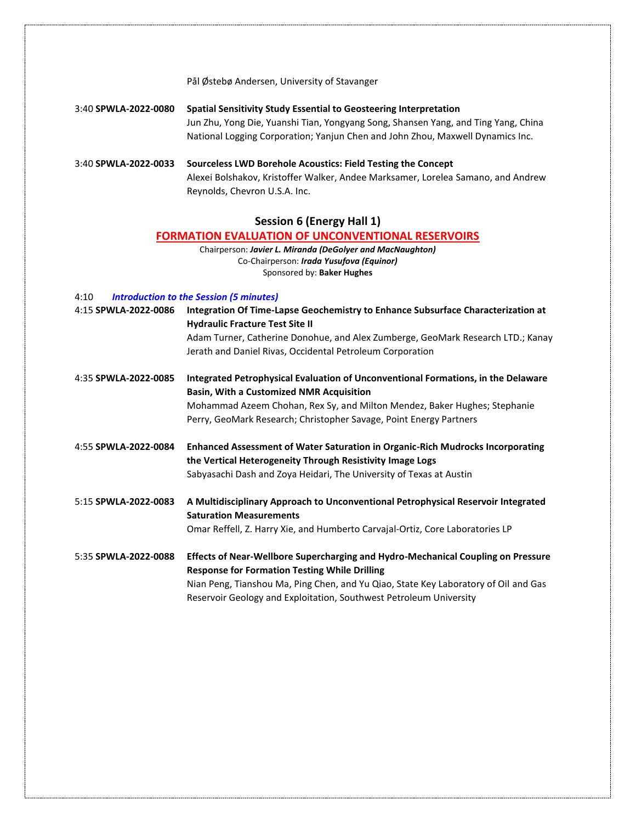Pål Østebø Andersen, University of Stavanger

3:40 **SPWLA-2022-0080 Spatial Sensitivity Study Essential to Geosteering Interpretation** Jun Zhu, Yong Die, Yuanshi Tian, Yongyang Song, Shansen Yang, and Ting Yang, China National Logging Corporation; Yanjun Chen and John Zhou, Maxwell Dynamics Inc.

3:40 **SPWLA-2022-0033 Sourceless LWD Borehole Acoustics: Field Testing the Concept** Alexei Bolshakov, Kristoffer Walker, Andee Marksamer, Lorelea Samano, and Andrew Reynolds, Chevron U.S.A. Inc.

## **Session 6 (Energy Hall 1)**

#### **FORMATION EVALUATION OF UNCONVENTIONAL RESERVOIRS**

Chairperson: *Javier L. Miranda (DeGolyer and MacNaughton)* Co-Chairperson: *Irada Yusufova (Equinor)* Sponsored by: **Baker Hughes**

#### 4:10 *Introduction to the Session (5 minutes)*

| Adam Turner, Catherine Donohue, and Alex Zumberge, GeoMark Research LTD.; Kanay<br>Jerath and Daniel Rivas, Occidental Petroleum Corporation<br>Integrated Petrophysical Evaluation of Unconventional Formations, in the Delaware<br>4:35 SPWLA-2022-0085<br><b>Basin, With a Customized NMR Acquisition</b><br>Mohammad Azeem Chohan, Rex Sy, and Milton Mendez, Baker Hughes; Stephanie<br>Perry, GeoMark Research; Christopher Savage, Point Energy Partners<br>4:55 SPWLA-2022-0084<br><b>Enhanced Assessment of Water Saturation in Organic-Rich Mudrocks Incorporating</b><br>the Vertical Heterogeneity Through Resistivity Image Logs<br>Sabyasachi Dash and Zoya Heidari, The University of Texas at Austin<br>A Multidisciplinary Approach to Unconventional Petrophysical Reservoir Integrated<br>5:15 SPWLA-2022-0083<br><b>Saturation Measurements</b><br>Omar Reffell, Z. Harry Xie, and Humberto Carvajal-Ortiz, Core Laboratories LP<br>Effects of Near-Wellbore Supercharging and Hydro-Mechanical Coupling on Pressure<br>5:35 SPWLA-2022-0088<br><b>Response for Formation Testing While Drilling</b><br>Nian Peng, Tianshou Ma, Ping Chen, and Yu Qiao, State Key Laboratory of Oil and Gas<br>Reservoir Geology and Exploitation, Southwest Petroleum University | 4:15 SPWLA-2022-0086 | Integration Of Time-Lapse Geochemistry to Enhance Subsurface Characterization at<br><b>Hydraulic Fracture Test Site II</b> |
|---------------------------------------------------------------------------------------------------------------------------------------------------------------------------------------------------------------------------------------------------------------------------------------------------------------------------------------------------------------------------------------------------------------------------------------------------------------------------------------------------------------------------------------------------------------------------------------------------------------------------------------------------------------------------------------------------------------------------------------------------------------------------------------------------------------------------------------------------------------------------------------------------------------------------------------------------------------------------------------------------------------------------------------------------------------------------------------------------------------------------------------------------------------------------------------------------------------------------------------------------------------------------------------|----------------------|----------------------------------------------------------------------------------------------------------------------------|
|                                                                                                                                                                                                                                                                                                                                                                                                                                                                                                                                                                                                                                                                                                                                                                                                                                                                                                                                                                                                                                                                                                                                                                                                                                                                                       |                      |                                                                                                                            |
|                                                                                                                                                                                                                                                                                                                                                                                                                                                                                                                                                                                                                                                                                                                                                                                                                                                                                                                                                                                                                                                                                                                                                                                                                                                                                       |                      |                                                                                                                            |
|                                                                                                                                                                                                                                                                                                                                                                                                                                                                                                                                                                                                                                                                                                                                                                                                                                                                                                                                                                                                                                                                                                                                                                                                                                                                                       |                      |                                                                                                                            |
|                                                                                                                                                                                                                                                                                                                                                                                                                                                                                                                                                                                                                                                                                                                                                                                                                                                                                                                                                                                                                                                                                                                                                                                                                                                                                       |                      |                                                                                                                            |
|                                                                                                                                                                                                                                                                                                                                                                                                                                                                                                                                                                                                                                                                                                                                                                                                                                                                                                                                                                                                                                                                                                                                                                                                                                                                                       |                      |                                                                                                                            |
|                                                                                                                                                                                                                                                                                                                                                                                                                                                                                                                                                                                                                                                                                                                                                                                                                                                                                                                                                                                                                                                                                                                                                                                                                                                                                       |                      |                                                                                                                            |
|                                                                                                                                                                                                                                                                                                                                                                                                                                                                                                                                                                                                                                                                                                                                                                                                                                                                                                                                                                                                                                                                                                                                                                                                                                                                                       |                      |                                                                                                                            |
|                                                                                                                                                                                                                                                                                                                                                                                                                                                                                                                                                                                                                                                                                                                                                                                                                                                                                                                                                                                                                                                                                                                                                                                                                                                                                       |                      |                                                                                                                            |
|                                                                                                                                                                                                                                                                                                                                                                                                                                                                                                                                                                                                                                                                                                                                                                                                                                                                                                                                                                                                                                                                                                                                                                                                                                                                                       |                      |                                                                                                                            |
|                                                                                                                                                                                                                                                                                                                                                                                                                                                                                                                                                                                                                                                                                                                                                                                                                                                                                                                                                                                                                                                                                                                                                                                                                                                                                       |                      |                                                                                                                            |
|                                                                                                                                                                                                                                                                                                                                                                                                                                                                                                                                                                                                                                                                                                                                                                                                                                                                                                                                                                                                                                                                                                                                                                                                                                                                                       |                      |                                                                                                                            |
|                                                                                                                                                                                                                                                                                                                                                                                                                                                                                                                                                                                                                                                                                                                                                                                                                                                                                                                                                                                                                                                                                                                                                                                                                                                                                       |                      |                                                                                                                            |
|                                                                                                                                                                                                                                                                                                                                                                                                                                                                                                                                                                                                                                                                                                                                                                                                                                                                                                                                                                                                                                                                                                                                                                                                                                                                                       |                      |                                                                                                                            |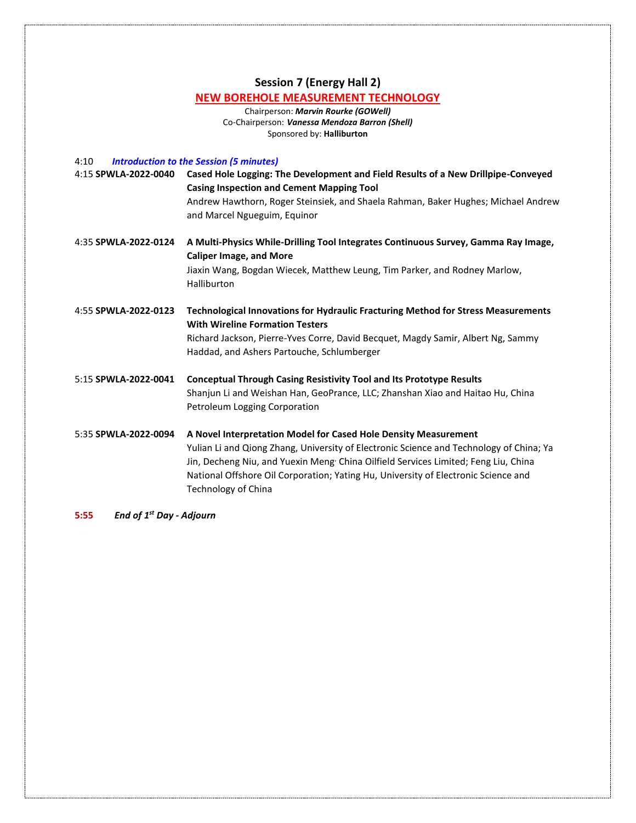# **Session 7 (Energy Hall 2)**

### **NEW BOREHOLE MEASUREMENT TECHNOLOGY**

Chairperson: *Marvin Rourke (GOWell)* Co-Chairperson: *Vanessa Mendoza Barron (Shell)* Sponsored by: **Halliburton**

4:10 *Introduction to the Session (5 minutes)*

| 4:15 SPWLA-2022-0040 | Cased Hole Logging: The Development and Field Results of a New Drillpipe-Conveyed<br><b>Casing Inspection and Cement Mapping Tool</b><br>Andrew Hawthorn, Roger Steinsiek, and Shaela Rahman, Baker Hughes; Michael Andrew<br>and Marcel Ngueguim, Equinor |
|----------------------|------------------------------------------------------------------------------------------------------------------------------------------------------------------------------------------------------------------------------------------------------------|
| 4:35 SPWLA-2022-0124 | A Multi-Physics While-Drilling Tool Integrates Continuous Survey, Gamma Ray Image,<br><b>Caliper Image, and More</b><br>Jiaxin Wang, Bogdan Wiecek, Matthew Leung, Tim Parker, and Rodney Marlow,<br>Halliburton                                           |

4:55 **SPWLA-2022-0123 Technological Innovations for Hydraulic Fracturing Method for Stress Measurements With Wireline Formation Testers** Richard Jackson, Pierre-Yves Corre, David Becquet, Magdy Samir, Albert Ng, Sammy Haddad, and Ashers Partouche, Schlumberger

5:15 **SPWLA-2022-0041 Conceptual Through Casing Resistivity Tool and Its Prototype Results** Shanjun Li and Weishan Han, GeoPrance, LLC; Zhanshan Xiao and Haitao Hu, China Petroleum Logging Corporation

5:35 **SPWLA-2022-0094 A Novel Interpretation Model for Cased Hole Density Measurement**  Yulian Li and Qiong Zhang, University of Electronic Science and Technology of China; Ya Jin, Decheng Niu, and Yuexin Meng<sup>,</sup> China Oilfield Services Limited; Feng Liu, China National Offshore Oil Corporation; Yating Hu, University of Electronic Science and Technology of China

**5:55** *End of 1 st Day - Adjourn*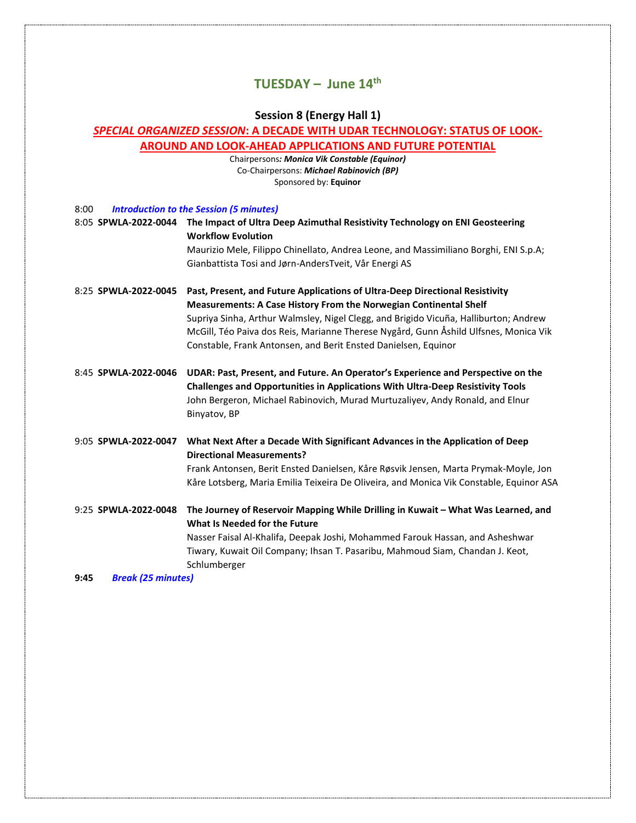# **TUESDAY – June 14th**

# **Session 8 (Energy Hall 1)**

# *SPECIAL ORGANIZED SESSION***: A DECADE WITH UDAR TECHNOLOGY: STATUS OF LOOK-**

|  | <b>AROUND AND LOOK-AHEAD APPLICATIONS AND FUTURE POTENTIAL</b> |  |  |
|--|----------------------------------------------------------------|--|--|
|--|----------------------------------------------------------------|--|--|

Chairpersons*: Monica Vik Constable (Equinor)* Co-Chairpersons: *Michael Rabinovich (BP)* Sponsored by: **Equinor**

| 8:00 | <b>Introduction to the Session (5 minutes)</b> |  |
|------|------------------------------------------------|--|
|------|------------------------------------------------|--|

| 8:05 SPWLA-2022-0044 | The Impact of Ultra Deep Azimuthal Resistivity Technology on ENI Geosteering<br><b>Workflow Evolution</b>                                                                                                                                                                                                                                                                                                  |
|----------------------|------------------------------------------------------------------------------------------------------------------------------------------------------------------------------------------------------------------------------------------------------------------------------------------------------------------------------------------------------------------------------------------------------------|
|                      | Maurizio Mele, Filippo Chinellato, Andrea Leone, and Massimiliano Borghi, ENI S.p.A;<br>Gianbattista Tosi and Jørn-AndersTveit, Vår Energi AS                                                                                                                                                                                                                                                              |
| 8:25 SPWLA-2022-0045 | Past, Present, and Future Applications of Ultra-Deep Directional Resistivity<br><b>Measurements: A Case History From the Norwegian Continental Shelf</b><br>Supriya Sinha, Arthur Walmsley, Nigel Clegg, and Brigido Vicuña, Halliburton; Andrew<br>McGill, Téo Paiva dos Reis, Marianne Therese Nygård, Gunn Åshild Ulfsnes, Monica Vik<br>Constable, Frank Antonsen, and Berit Ensted Danielsen, Equinor |
| 8:45 SPWLA-2022-0046 | UDAR: Past, Present, and Future. An Operator's Experience and Perspective on the<br>Challenges and Opportunities in Applications With Ultra-Deep Resistivity Tools<br>John Bergeron, Michael Rabinovich, Murad Murtuzaliyev, Andy Ronald, and Elnur<br>Binyatov, BP                                                                                                                                        |
| 9:05 SPWLA-2022-0047 | What Next After a Decade With Significant Advances in the Application of Deep<br><b>Directional Measurements?</b><br>Frank Antonsen, Berit Ensted Danielsen, Kåre Røsvik Jensen, Marta Prymak-Moyle, Jon<br>Kåre Lotsberg, Maria Emilia Teixeira De Oliveira, and Monica Vik Constable, Equinor ASA                                                                                                        |
| 9:25 SPWLA-2022-0048 | The Journey of Reservoir Mapping While Drilling in Kuwait - What Was Learned, and<br>What Is Needed for the Future<br>Nasser Faisal Al-Khalifa, Deepak Joshi, Mohammed Farouk Hassan, and Asheshwar<br>Tiwary, Kuwait Oil Company; Ihsan T. Pasaribu, Mahmoud Siam, Chandan J. Keot,<br>Schlumberger                                                                                                       |

**9:45** *Break (25 minutes)*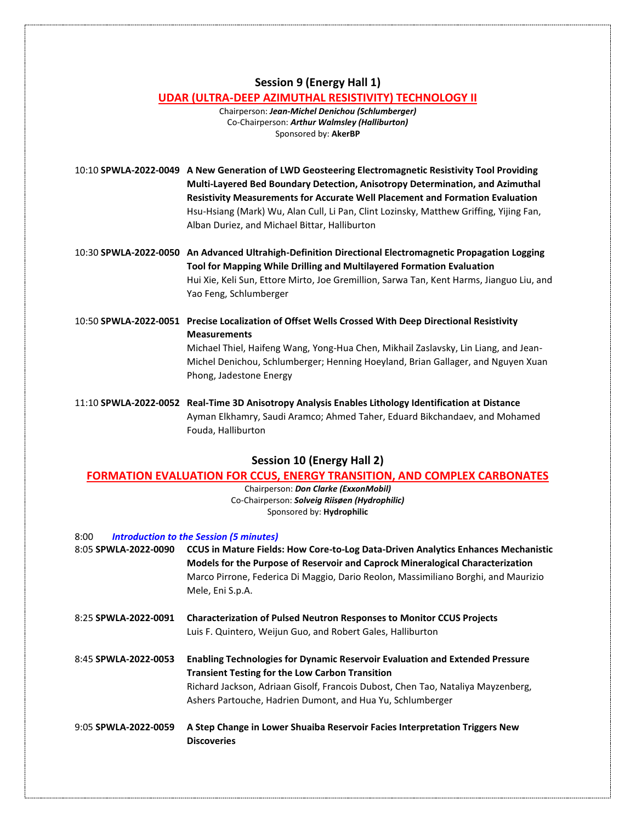# **Session 9 (Energy Hall 1)**

### **UDAR (ULTRA-DEEP AZIMUTHAL RESISTIVITY) TECHNOLOGY II**

Chairperson: *Jean-Michel Denichou (Schlumberger)* Co-Chairperson: *Arthur Walmsley (Halliburton)* Sponsored by: **AkerBP**

10:10 **SPWLA-2022-0049 A New Generation of LWD Geosteering Electromagnetic Resistivity Tool Providing Multi-Layered Bed Boundary Detection, Anisotropy Determination, and Azimuthal Resistivity Measurements for Accurate Well Placement and Formation Evaluation** Hsu-Hsiang (Mark) Wu, Alan Cull, Li Pan, Clint Lozinsky, Matthew Griffing, Yijing Fan, Alban Duriez, and Michael Bittar, Halliburton

- 10:30 **SPWLA-2022-0050 An Advanced Ultrahigh-Definition Directional Electromagnetic Propagation Logging Tool for Mapping While Drilling and Multilayered Formation Evaluation** Hui Xie, Keli Sun, Ettore Mirto, Joe Gremillion, Sarwa Tan, Kent Harms, Jianguo Liu, and Yao Feng, Schlumberger
- 10:50 **SPWLA-2022-0051 Precise Localization of Offset Wells Crossed With Deep Directional Resistivity Measurements** Michael Thiel, Haifeng Wang, Yong-Hua Chen, Mikhail Zaslavsky, Lin Liang, and Jean-Michel Denichou, Schlumberger; Henning Hoeyland, Brian Gallager, and Nguyen Xuan Phong, Jadestone Energy
- 11:10 **SPWLA-2022-0052 Real-Time 3D Anisotropy Analysis Enables Lithology Identification at Distance** Ayman Elkhamry, Saudi Aramco; Ahmed Taher, Eduard Bikchandaev, and Mohamed Fouda, Halliburton

### **Session 10 (Energy Hall 2)**

#### **FORMATION EVALUATION FOR CCUS, ENERGY TRANSITION, AND COMPLEX CARBONATES**

Chairperson: *Don Clarke (ExxonMobil)* Co-Chairperson: *Solveig Riisøen (Hydrophilic)* Sponsored by: **Hydrophilic**

| 8:00 | <b>Introduction to the Session (5 minutes)</b> |
|------|------------------------------------------------|
|------|------------------------------------------------|

| 8:05 SPWLA-2022-0090 | <b>CCUS in Mature Fields: How Core-to-Log Data-Driven Analytics Enhances Mechanistic</b><br>Models for the Purpose of Reservoir and Caprock Mineralogical Characterization<br>Marco Pirrone, Federica Di Maggio, Dario Reolon, Massimiliano Borghi, and Maurizio<br>Mele, Eni S.p.A. |
|----------------------|--------------------------------------------------------------------------------------------------------------------------------------------------------------------------------------------------------------------------------------------------------------------------------------|
| 8:25 SPWLA-2022-0091 | <b>Characterization of Pulsed Neutron Responses to Monitor CCUS Projects</b><br>Luis F. Quintero, Weijun Guo, and Robert Gales, Halliburton                                                                                                                                          |
| 8:45 SPWLA-2022-0053 | <b>Enabling Technologies for Dynamic Reservoir Evaluation and Extended Pressure</b><br><b>Transient Testing for the Low Carbon Transition</b><br>Richard Jackson, Adriaan Gisolf, Francois Dubost, Chen Tao, Nataliya Mayzenberg,                                                    |

Ashers Partouche, Hadrien Dumont, and Hua Yu, Schlumberger

9:05 **SPWLA-2022-0059 A Step Change in Lower Shuaiba Reservoir Facies Interpretation Triggers New Discoveries**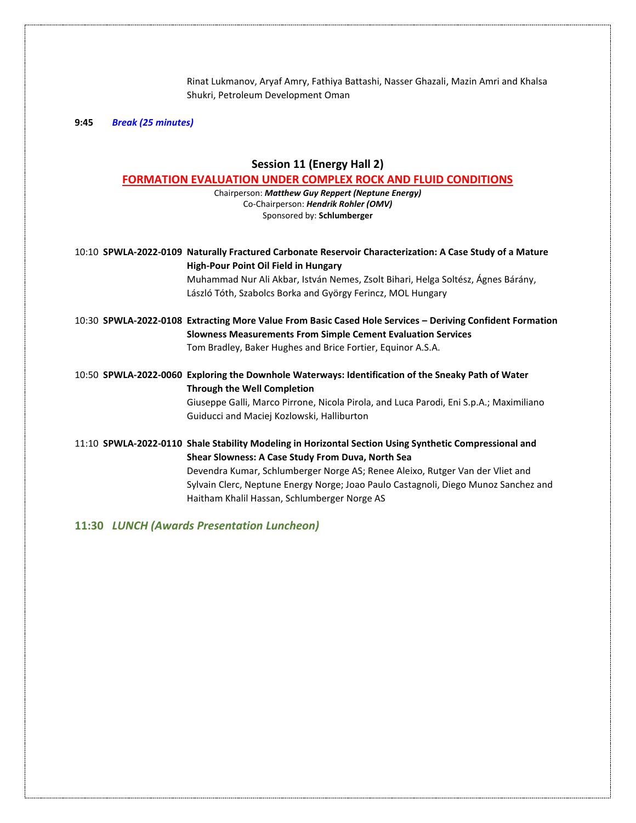Rinat Lukmanov, Aryaf Amry, Fathiya Battashi, Nasser Ghazali, Mazin Amri and Khalsa Shukri, Petroleum Development Oman

**9:45** *Break (25 minutes)*

# **Session 11 (Energy Hall 2)**

#### **FORMATION EVALUATION UNDER COMPLEX ROCK AND FLUID CONDITIONS**

Chairperson: *Matthew Guy Reppert (Neptune Energy)* Co-Chairperson: *Hendrik Rohler (OMV)* Sponsored by: **Schlumberger**

| 10:10 SPWLA-2022-0109 Naturally Fractured Carbonate Reservoir Characterization: A Case Study of a Mature<br>High-Pour Point Oil Field in Hungary<br>Muhammad Nur Ali Akbar, István Nemes, Zsolt Bihari, Helga Soltész, Ágnes Bárány,<br>László Tóth, Szabolcs Borka and György Ferincz, MOL Hungary                                                                                 |
|-------------------------------------------------------------------------------------------------------------------------------------------------------------------------------------------------------------------------------------------------------------------------------------------------------------------------------------------------------------------------------------|
| 10:30 SPWLA-2022-0108 Extracting More Value From Basic Cased Hole Services – Deriving Confident Formation<br><b>Slowness Measurements From Simple Cement Evaluation Services</b><br>Tom Bradley, Baker Hughes and Brice Fortier, Equinor A.S.A.                                                                                                                                     |
| 10:50 SPWLA-2022-0060 Exploring the Downhole Waterways: Identification of the Sneaky Path of Water<br><b>Through the Well Completion</b><br>Giuseppe Galli, Marco Pirrone, Nicola Pirola, and Luca Parodi, Eni S.p.A.; Maximiliano<br>Guiducci and Maciej Kozlowski, Halliburton                                                                                                    |
| 11:10 SPWLA-2022-0110 Shale Stability Modeling in Horizontal Section Using Synthetic Compressional and<br>Shear Slowness: A Case Study From Duva, North Sea<br>Devendra Kumar, Schlumberger Norge AS; Renee Aleixo, Rutger Van der Vliet and<br>Sylvain Clerc, Neptune Energy Norge; Joao Paulo Castagnoli, Diego Munoz Sanchez and<br>Haitham Khalil Hassan, Schlumberger Norge AS |

**11:30** *LUNCH (Awards Presentation Luncheon)*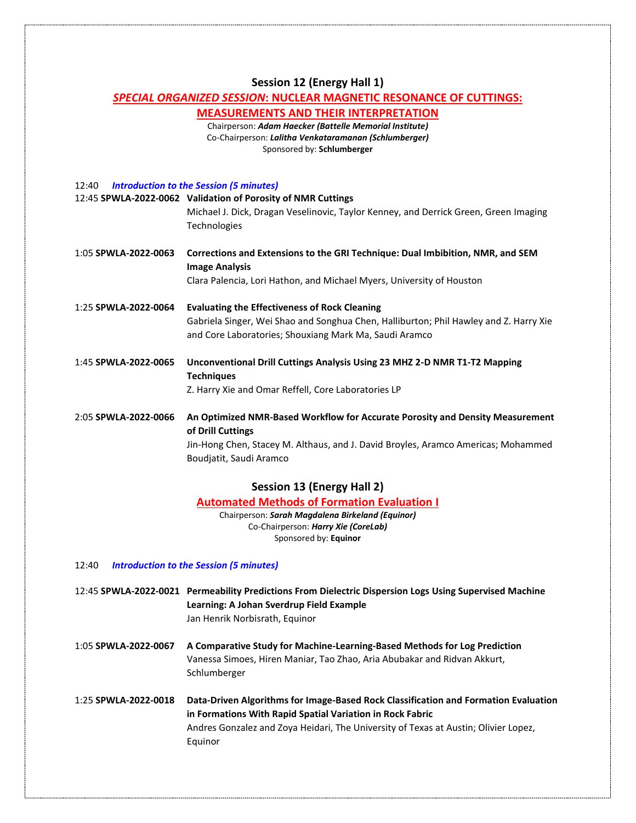#### **Session 12 (Energy Hall 1)**

#### *SPECIAL ORGANIZED SESSION***: NUCLEAR MAGNETIC RESONANCE OF CUTTINGS:**

#### **MEASUREMENTS AND THEIR INTERPRETATION**

Chairperson: *Adam Haecker (Battelle Memorial Institute)* Co-Chairperson: *Lalitha Venkataramanan (Schlumberger)* Sponsored by: **Schlumberger**

12:40 *Introduction to the Session (5 minutes)*

|                      | 12:45 SPWLA-2022-0062 Validation of Porosity of NMR Cuttings<br>Michael J. Dick, Dragan Veselinovic, Taylor Kenney, and Derrick Green, Green Imaging<br><b>Technologies</b> |
|----------------------|-----------------------------------------------------------------------------------------------------------------------------------------------------------------------------|
| 1:05 SPWLA-2022-0063 | Corrections and Extensions to the GRI Technique: Dual Imbibition, NMR, and SEM<br><b>Image Analysis</b>                                                                     |
|                      | Clara Palencia, Lori Hathon, and Michael Myers, University of Houston                                                                                                       |
| 1:25 SPWLA-2022-0064 | <b>Evaluating the Effectiveness of Rock Cleaning</b>                                                                                                                        |
|                      | Gabriela Singer, Wei Shao and Songhua Chen, Halliburton; Phil Hawley and Z. Harry Xie<br>and Core Laboratories; Shouxiang Mark Ma, Saudi Aramco                             |
| 1:45 SPWLA-2022-0065 | Unconventional Drill Cuttings Analysis Using 23 MHZ 2-D NMR T1-T2 Mapping<br><b>Techniques</b>                                                                              |
|                      | Z. Harry Xie and Omar Reffell, Core Laboratories LP                                                                                                                         |
| 2:05 SPWLA-2022-0066 | An Optimized NMR-Based Workflow for Accurate Porosity and Density Measurement<br>of Drill Cuttings                                                                          |

Jin-Hong Chen, Stacey M. Althaus, and J. David Broyles, Aramco Americas; Mohammed Boudjatit, Saudi Aramco

#### **Session 13 (Energy Hall 2)**

**Automated Methods of Formation Evaluation I**

Chairperson: *Sarah Magdalena Birkeland (Equinor)* Co-Chairperson: *Harry Xie (CoreLab)* Sponsored by: **Equinor**

12:40 *Introduction to the Session (5 minutes)*

12:45 **SPWLA-2022-0021 Permeability Predictions From Dielectric Dispersion Logs Using Supervised Machine Learning: A Johan Sverdrup Field Example** Jan Henrik Norbisrath, Equinor

- 1:05 **SPWLA-2022-0067 A Comparative Study for Machine-Learning-Based Methods for Log Prediction** Vanessa Simoes, Hiren Maniar, Tao Zhao, Aria Abubakar and Ridvan Akkurt, Schlumberger
- 1:25 **SPWLA-2022-0018 Data-Driven Algorithms for Image-Based Rock Classification and Formation Evaluation in Formations With Rapid Spatial Variation in Rock Fabric** Andres Gonzalez and Zoya Heidari, The University of Texas at Austin; Olivier Lopez, Equinor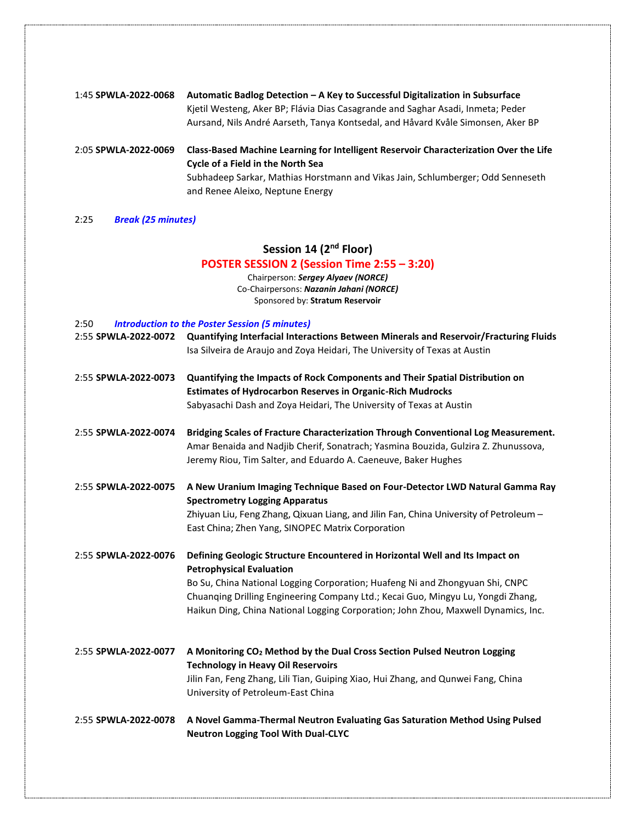| 1:45 SPWLA-2022-0068 | Automatic Badlog Detection – A Key to Successful Digitalization in Subsurface<br>Kjetil Westeng, Aker BP; Flávia Dias Casagrande and Saghar Asadi, Inmeta; Peder<br>Aursand, Nils André Aarseth, Tanya Kontsedal, and Håvard Kvåle Simonsen, Aker BP |
|----------------------|------------------------------------------------------------------------------------------------------------------------------------------------------------------------------------------------------------------------------------------------------|
| 2:05 SPWLA-2022-0069 | Class-Based Machine Learning for Intelligent Reservoir Characterization Over the Life<br><b>Cycle of a Field in the North Sea</b><br>Subhadeep Sarkar, Mathias Horstmann and Vikas Jain, Schlumberger; Odd Senneseth                                 |
|                      | and Renee Aleixo, Neptune Energy                                                                                                                                                                                                                     |

2:25 *Break (25 minutes)*

# **Session 14 (2nd Floor)**

# **POSTER SESSION 2 (Session Time 2:55 – 3:20)**

Chairperson: *Sergey Alyaev (NORCE)* Co-Chairpersons: *Nazanin Jahani (NORCE)* Sponsored by: **Stratum Reservoir**

| 2:50<br><b>Introduction to the Poster Session (5 minutes)</b> |                                                                                                                                                                                                                                                                                                                                                                            |  |
|---------------------------------------------------------------|----------------------------------------------------------------------------------------------------------------------------------------------------------------------------------------------------------------------------------------------------------------------------------------------------------------------------------------------------------------------------|--|
| 2:55 SPWLA-2022-0072                                          | Quantifying Interfacial Interactions Between Minerals and Reservoir/Fracturing Fluids<br>Isa Silveira de Araujo and Zoya Heidari, The University of Texas at Austin                                                                                                                                                                                                        |  |
| 2:55 SPWLA-2022-0073                                          | Quantifying the Impacts of Rock Components and Their Spatial Distribution on<br><b>Estimates of Hydrocarbon Reserves in Organic-Rich Mudrocks</b><br>Sabyasachi Dash and Zoya Heidari, The University of Texas at Austin                                                                                                                                                   |  |
| 2:55 SPWLA-2022-0074                                          | Bridging Scales of Fracture Characterization Through Conventional Log Measurement.<br>Amar Benaida and Nadjib Cherif, Sonatrach; Yasmina Bouzida, Gulzira Z. Zhunussova,<br>Jeremy Riou, Tim Salter, and Eduardo A. Caeneuve, Baker Hughes                                                                                                                                 |  |
| 2:55 SPWLA-2022-0075                                          | A New Uranium Imaging Technique Based on Four-Detector LWD Natural Gamma Ray<br><b>Spectrometry Logging Apparatus</b><br>Zhiyuan Liu, Feng Zhang, Qixuan Liang, and Jilin Fan, China University of Petroleum -<br>East China; Zhen Yang, SINOPEC Matrix Corporation                                                                                                        |  |
| 2:55 SPWLA-2022-0076                                          | Defining Geologic Structure Encountered in Horizontal Well and Its Impact on<br><b>Petrophysical Evaluation</b><br>Bo Su, China National Logging Corporation; Huafeng Ni and Zhongyuan Shi, CNPC<br>Chuanqing Drilling Engineering Company Ltd.; Kecai Guo, Mingyu Lu, Yongdi Zhang,<br>Haikun Ding, China National Logging Corporation; John Zhou, Maxwell Dynamics, Inc. |  |
| 2:55 SPWLA-2022-0077                                          | A Monitoring CO <sub>2</sub> Method by the Dual Cross Section Pulsed Neutron Logging<br><b>Technology in Heavy Oil Reservoirs</b><br>Jilin Fan, Feng Zhang, Lili Tian, Guiping Xiao, Hui Zhang, and Qunwei Fang, China<br>University of Petroleum-East China                                                                                                               |  |
| 2:55 SPWLA-2022-0078                                          | A Novel Gamma-Thermal Neutron Evaluating Gas Saturation Method Using Pulsed<br><b>Neutron Logging Tool With Dual-CLYC</b>                                                                                                                                                                                                                                                  |  |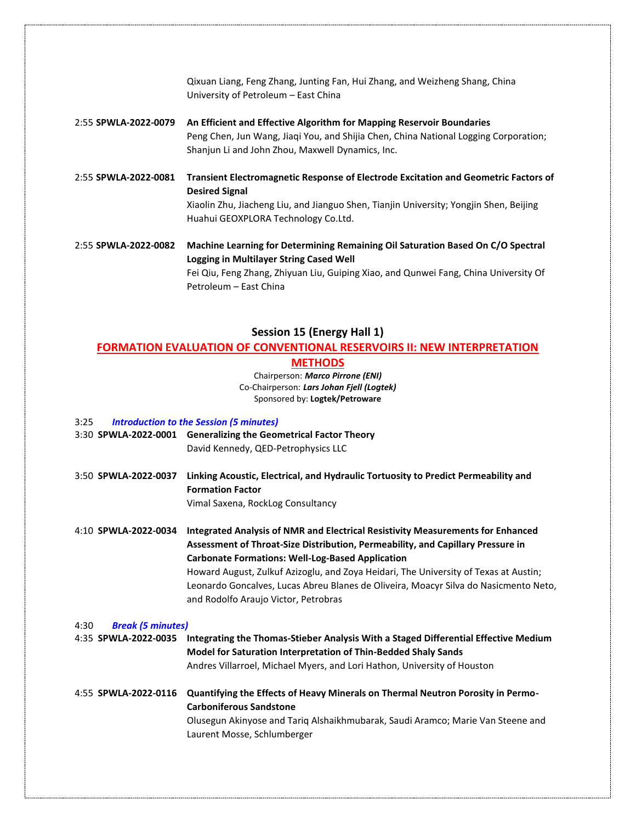|                      | Qixuan Liang, Feng Zhang, Junting Fan, Hui Zhang, and Weizheng Shang, China<br>University of Petroleum - East China                                                                                                                           |
|----------------------|-----------------------------------------------------------------------------------------------------------------------------------------------------------------------------------------------------------------------------------------------|
| 2:55 SPWLA-2022-0079 | An Efficient and Effective Algorithm for Mapping Reservoir Boundaries<br>Peng Chen, Jun Wang, Jiaqi You, and Shijia Chen, China National Logging Corporation;<br>Shanjun Li and John Zhou, Maxwell Dynamics, Inc.                             |
| 2:55 SPWLA-2022-0081 | Transient Electromagnetic Response of Electrode Excitation and Geometric Factors of<br><b>Desired Signal</b><br>Xiaolin Zhu, Jiacheng Liu, and Jianguo Shen, Tianjin University; Yongjin Shen, Beijing<br>Huahui GEOXPLORA Technology Co.Ltd. |
| 2:55 SPWLA-2022-0082 | Machine Learning for Determining Remaining Oil Saturation Based On C/O Spectral<br>Logging in Multilayer String Cased Well<br>Fei Qiu, Feng Zhang, Zhiyuan Liu, Guiping Xiao, and Qunwei Fang, China University Of<br>Petroleum - East China  |

## **Session 15 (Energy Hall 1)**

#### **FORMATION EVALUATION OF CONVENTIONAL RESERVOIRS II: NEW INTERPRETATION**

**METHODS**

Chairperson: *Marco Pirrone (ENI)* Co-Chairperson: *Lars Johan Fjell (Logtek)* Sponsored by: **Logtek/Petroware**

#### 3:25 *Introduction to the Session (5 minutes)*

- 3:30 **SPWLA-2022-0001 Generalizing the Geometrical Factor Theory** David Kennedy, QED-Petrophysics LLC
- 3:50 **SPWLA-2022-0037 Linking Acoustic, Electrical, and Hydraulic Tortuosity to Predict Permeability and Formation Factor** Vimal Saxena, RockLog Consultancy

4:10 **SPWLA-2022-0034 Integrated Analysis of NMR and Electrical Resistivity Measurements for Enhanced Assessment of Throat-Size Distribution, Permeability, and Capillary Pressure in Carbonate Formations: Well-Log-Based Application** Howard August, Zulkuf Azizoglu, and Zoya Heidari, The University of Texas at Austin;

Leonardo Goncalves, Lucas Abreu Blanes de Oliveira, Moacyr Silva do Nasicmento Neto, and Rodolfo Araujo Victor, Petrobras

| 4:30 |  | <b>Break (5 minutes)</b> |
|------|--|--------------------------|
|------|--|--------------------------|

4:35 **SPWLA-2022-0035 Integrating the Thomas-Stieber Analysis With a Staged Differential Effective Medium Model for Saturation Interpretation of Thin-Bedded Shaly Sands** Andres Villarroel, Michael Myers, and Lori Hathon, University of Houston

# 4:55 **SPWLA-2022-0116 Quantifying the Effects of Heavy Minerals on Thermal Neutron Porosity in Permo-Carboniferous Sandstone**

Olusegun Akinyose and Tariq Alshaikhmubarak, Saudi Aramco; Marie Van Steene and Laurent Mosse, Schlumberger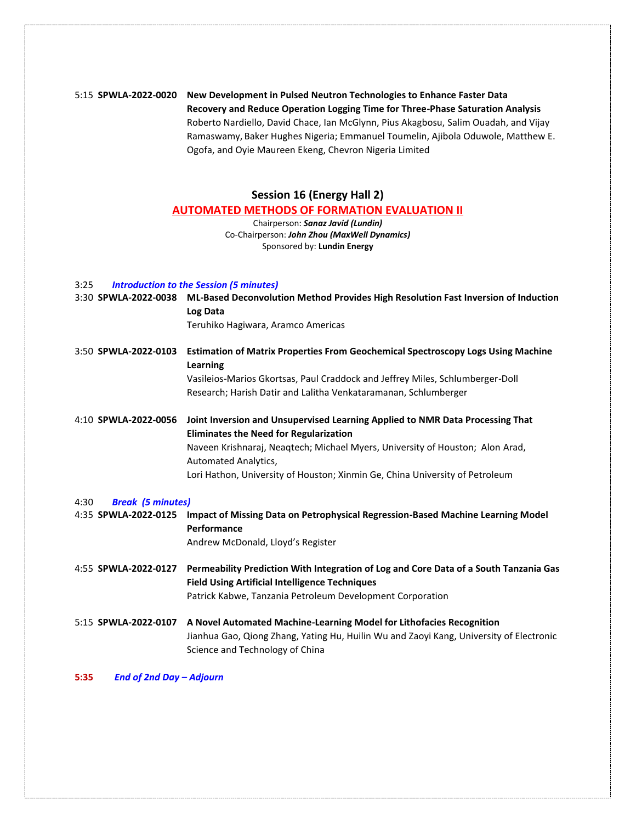# 5:15 **SPWLA-2022-0020 New Development in Pulsed Neutron Technologies to Enhance Faster Data Recovery and Reduce Operation Logging Time for Three-Phase Saturation Analysis** Roberto Nardiello, David Chace, Ian McGlynn, Pius Akagbosu, Salim Ouadah, and Vijay Ramaswamy, Baker Hughes Nigeria; Emmanuel Toumelin, Ajibola Oduwole, Matthew E. Ogofa, and Oyie Maureen Ekeng, Chevron Nigeria Limited

# **Session 16 (Energy Hall 2)**

#### **AUTOMATED METHODS OF FORMATION EVALUATION II**

Chairperson: *Sanaz Javid (Lundin)* Co-Chairperson: *John Zhou (MaxWell Dynamics)* Sponsored by: **Lundin Energy**

#### 3:25 *Introduction to the Session (5 minutes)*

| 3:30 SPWLA-2022-0038             | ML-Based Deconvolution Method Provides High Resolution Fast Inversion of Induction<br>Log Data                                                                                                     |
|----------------------------------|----------------------------------------------------------------------------------------------------------------------------------------------------------------------------------------------------|
|                                  | Teruhiko Hagiwara, Aramco Americas                                                                                                                                                                 |
| 3:50 SPWLA-2022-0103             | <b>Estimation of Matrix Properties From Geochemical Spectroscopy Logs Using Machine</b><br>Learning                                                                                                |
|                                  | Vasileios-Marios Gkortsas, Paul Craddock and Jeffrey Miles, Schlumberger-Doll                                                                                                                      |
|                                  | Research; Harish Datir and Lalitha Venkataramanan, Schlumberger                                                                                                                                    |
| 4:10 SPWLA-2022-0056             | Joint Inversion and Unsupervised Learning Applied to NMR Data Processing That<br><b>Eliminates the Need for Regularization</b>                                                                     |
|                                  | Naveen Krishnaraj, Neaqtech; Michael Myers, University of Houston; Alon Arad,<br>Automated Analytics,                                                                                              |
|                                  | Lori Hathon, University of Houston; Xinmin Ge, China University of Petroleum                                                                                                                       |
| <b>Break (5 minutes)</b><br>4:30 |                                                                                                                                                                                                    |
| 4:35 SPWLA-2022-0125             | Impact of Missing Data on Petrophysical Regression-Based Machine Learning Model<br>Performance                                                                                                     |
|                                  | Andrew McDonald, Lloyd's Register                                                                                                                                                                  |
| 4:55 SPWLA-2022-0127             | Permeability Prediction With Integration of Log and Core Data of a South Tanzania Gas<br><b>Field Using Artificial Intelligence Techniques</b>                                                     |
|                                  | Patrick Kabwe, Tanzania Petroleum Development Corporation                                                                                                                                          |
| 5:15 SPWLA-2022-0107             | A Novel Automated Machine-Learning Model for Lithofacies Recognition<br>Jianhua Gao, Qiong Zhang, Yating Hu, Huilin Wu and Zaoyi Kang, University of Electronic<br>Science and Technology of China |

**5:35** *End of 2nd Day – Adjourn*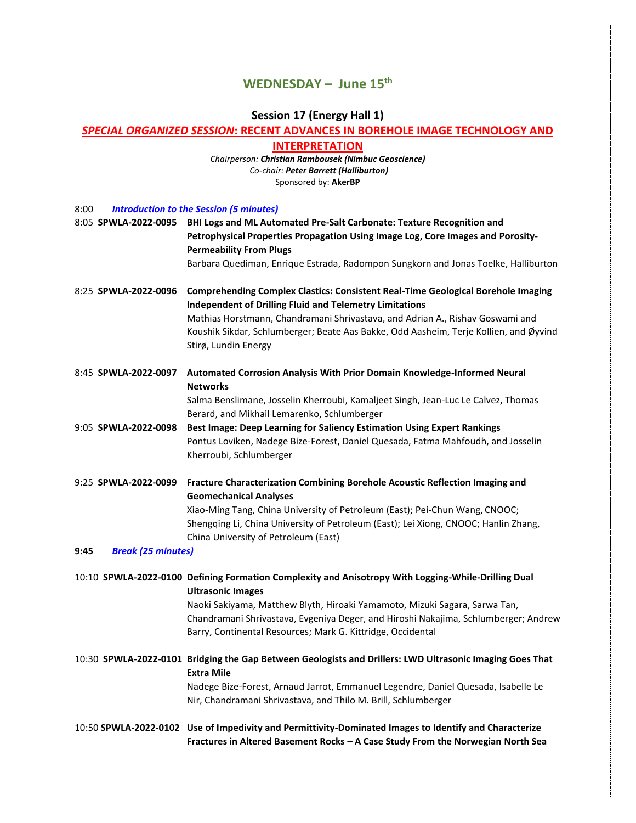# **WEDNESDAY – June 15th**

# **Session 17 (Energy Hall 1)**

# *SPECIAL ORGANIZED SESSION***: RECENT ADVANCES IN BOREHOLE IMAGE TECHNOLOGY AND**

**INTERPRETATION**

*Chairperson: Christian Rambousek (Nimbuc Geoscience) Co-chair: Peter Barrett (Halliburton)* Sponsored by: **AkerBP**

8:00 *Introduction to the Session (5 minutes)*

| o.vu                              | <b>Printipulation to the Session Simmutes</b>                                                                                                                                                                                    |  |
|-----------------------------------|----------------------------------------------------------------------------------------------------------------------------------------------------------------------------------------------------------------------------------|--|
|                                   | 8:05 SPWLA-2022-0095 BHI Logs and ML Automated Pre-Salt Carbonate: Texture Recognition and<br>Petrophysical Properties Propagation Using Image Log, Core Images and Porosity-<br><b>Permeability From Plugs</b>                  |  |
|                                   | Barbara Quediman, Enrique Estrada, Radompon Sungkorn and Jonas Toelke, Halliburton                                                                                                                                               |  |
| 8:25 SPWLA-2022-0096              | <b>Comprehending Complex Clastics: Consistent Real-Time Geological Borehole Imaging</b><br><b>Independent of Drilling Fluid and Telemetry Limitations</b>                                                                        |  |
|                                   | Mathias Horstmann, Chandramani Shrivastava, and Adrian A., Rishav Goswami and<br>Koushik Sikdar, Schlumberger; Beate Aas Bakke, Odd Aasheim, Terje Kollien, and Øyvind<br>Stirø, Lundin Energy                                   |  |
| 8:45 SPWLA-2022-0097              | Automated Corrosion Analysis With Prior Domain Knowledge-Informed Neural<br><b>Networks</b>                                                                                                                                      |  |
|                                   | Salma Benslimane, Josselin Kherroubi, Kamaljeet Singh, Jean-Luc Le Calvez, Thomas<br>Berard, and Mikhail Lemarenko, Schlumberger                                                                                                 |  |
| 9:05 SPWLA-2022-0098              | Best Image: Deep Learning for Saliency Estimation Using Expert Rankings<br>Pontus Loviken, Nadege Bize-Forest, Daniel Quesada, Fatma Mahfoudh, and Josselin<br>Kherroubi, Schlumberger                                           |  |
|                                   | 9:25 SPWLA-2022-0099 Fracture Characterization Combining Borehole Acoustic Reflection Imaging and<br><b>Geomechanical Analyses</b>                                                                                               |  |
|                                   | Xiao-Ming Tang, China University of Petroleum (East); Pei-Chun Wang, CNOOC;<br>Shengqing Li, China University of Petroleum (East); Lei Xiong, CNOOC; Hanlin Zhang,<br>China University of Petroleum (East)                       |  |
| <b>Break (25 minutes)</b><br>9:45 |                                                                                                                                                                                                                                  |  |
|                                   | 10:10 SPWLA-2022-0100 Defining Formation Complexity and Anisotropy With Logging-While-Drilling Dual<br><b>Ultrasonic Images</b>                                                                                                  |  |
|                                   | Naoki Sakiyama, Matthew Blyth, Hiroaki Yamamoto, Mizuki Sagara, Sarwa Tan,<br>Chandramani Shrivastava, Evgeniya Deger, and Hiroshi Nakajima, Schlumberger; Andrew<br>Barry, Continental Resources; Mark G. Kittridge, Occidental |  |
|                                   | 10:30 SPWLA-2022-0101 Bridging the Gap Between Geologists and Drillers: LWD Ultrasonic Imaging Goes That<br><b>Extra Mile</b>                                                                                                    |  |
|                                   | Nadege Bize-Forest, Arnaud Jarrot, Emmanuel Legendre, Daniel Quesada, Isabelle Le<br>Nir, Chandramani Shrivastava, and Thilo M. Brill, Schlumberger                                                                              |  |
|                                   | 10:50 SPWLA-2022-0102 Use of Impedivity and Permittivity-Dominated Images to Identify and Characterize<br>Fractures in Altered Basement Rocks - A Case Study From the Norwegian North Sea                                        |  |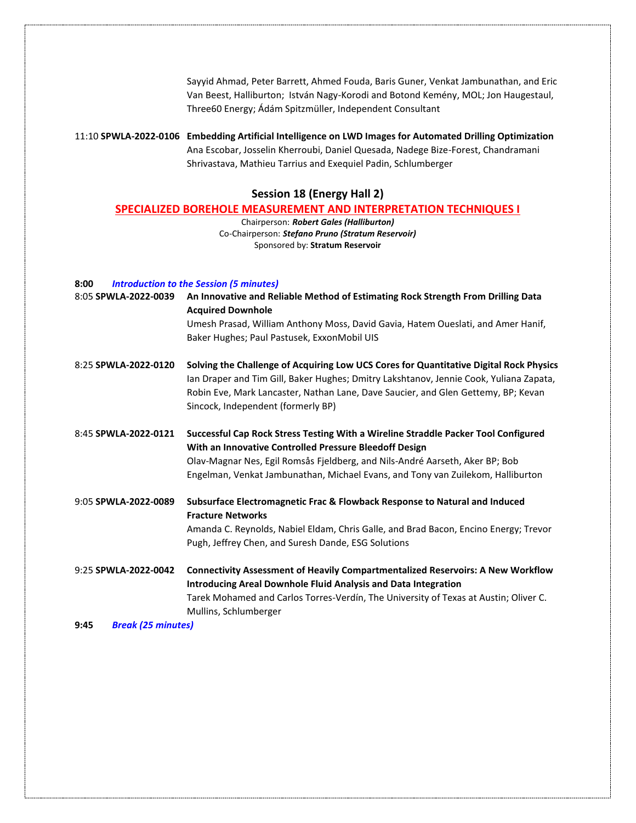Sayyid Ahmad, Peter Barrett, Ahmed Fouda, Baris Guner, Venkat Jambunathan, and Eric Van Beest, Halliburton; István Nagy-Korodi and Botond Kemény, MOL; Jon Haugestaul, Three60 Energy; Ádám Spitzmüller, Independent Consultant

11:10 **SPWLA-2022-0106 Embedding Artificial Intelligence on LWD Images for Automated Drilling Optimization** Ana Escobar, Josselin Kherroubi, Daniel Quesada, Nadege Bize-Forest, Chandramani Shrivastava, Mathieu Tarrius and Exequiel Padin, Schlumberger

#### **Session 18 (Energy Hall 2)**

#### **SPECIALIZED BOREHOLE MEASUREMENT AND INTERPRETATION TECHNIQUES I**

Chairperson: *Robert Gales (Halliburton)* Co-Chairperson: *Stefano Pruno (Stratum Reservoir)* Sponsored by: **Stratum Reservoir**

#### **8:00** *Introduction to the Session (5 minutes)*

| 8:05 SPWLA-2022-0039 | An Innovative and Reliable Method of Estimating Rock Strength From Drilling Data<br><b>Acquired Downhole</b><br>Umesh Prasad, William Anthony Moss, David Gavia, Hatem Oueslati, and Amer Hanif,<br>Baker Hughes; Paul Pastusek, ExxonMobil UIS                                                                 |
|----------------------|-----------------------------------------------------------------------------------------------------------------------------------------------------------------------------------------------------------------------------------------------------------------------------------------------------------------|
| 8:25 SPWLA-2022-0120 | Solving the Challenge of Acquiring Low UCS Cores for Quantitative Digital Rock Physics<br>Ian Draper and Tim Gill, Baker Hughes; Dmitry Lakshtanov, Jennie Cook, Yuliana Zapata,<br>Robin Eve, Mark Lancaster, Nathan Lane, Dave Saucier, and Glen Gettemy, BP; Kevan<br>Sincock, Independent (formerly BP)     |
| 8:45 SPWLA-2022-0121 | Successful Cap Rock Stress Testing With a Wireline Straddle Packer Tool Configured<br>With an Innovative Controlled Pressure Bleedoff Design<br>Olav-Magnar Nes, Egil Romsås Fjeldberg, and Nils-André Aarseth, Aker BP; Bob<br>Engelman, Venkat Jambunathan, Michael Evans, and Tony van Zuilekom, Halliburton |
| 9:05 SPWLA-2022-0089 | Subsurface Electromagnetic Frac & Flowback Response to Natural and Induced<br><b>Fracture Networks</b><br>Amanda C. Reynolds, Nabiel Eldam, Chris Galle, and Brad Bacon, Encino Energy; Trevor<br>Pugh, Jeffrey Chen, and Suresh Dande, ESG Solutions                                                           |
| 9:25 SPWLA-2022-0042 | <b>Connectivity Assessment of Heavily Compartmentalized Reservoirs: A New Workflow</b><br><b>Introducing Areal Downhole Fluid Analysis and Data Integration</b><br>Tarek Mohamed and Carlos Torres-Verdín, The University of Texas at Austin; Oliver C.<br>Mullins, Schlumberger                                |

**9:45** *Break (25 minutes)*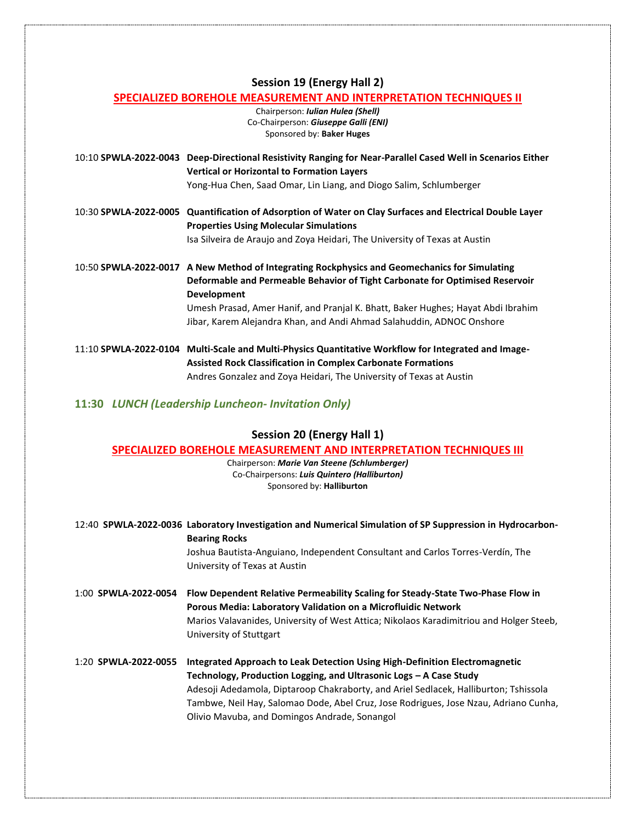#### **Session 19 (Energy Hall 2)**

#### **SPECIALIZED BOREHOLE MEASUREMENT AND INTERPRETATION TECHNIQUES II**

Chairperson: *Iulian Hulea (Shell)* Co-Chairperson: *Giuseppe Galli (ENI)* Sponsored by: **Baker Huges**

10:10 **SPWLA-2022-0043 Deep-Directional Resistivity Ranging for Near-Parallel Cased Well in Scenarios Either Vertical or Horizontal to Formation Layers**

Yong-Hua Chen, Saad Omar, Lin Liang, and Diogo Salim, Schlumberger

10:30 **SPWLA-2022-0005 Quantification of Adsorption of Water on Clay Surfaces and Electrical Double Layer Properties Using Molecular Simulations** Isa Silveira de Araujo and Zoya Heidari, The University of Texas at Austin

10:50 **SPWLA-2022-0017 A New Method of Integrating Rockphysics and Geomechanics for Simulating Deformable and Permeable Behavior of Tight Carbonate for Optimised Reservoir Development** Umesh Prasad, Amer Hanif, and Pranjal K. Bhatt, Baker Hughes; Hayat Abdi Ibrahim Jibar, Karem Alejandra Khan, and Andi Ahmad Salahuddin, ADNOC Onshore

11:10 **SPWLA-2022-0104 Multi-Scale and Multi-Physics Quantitative Workflow for Integrated and Image-Assisted Rock Classification in Complex Carbonate Formations** Andres Gonzalez and Zoya Heidari, The University of Texas at Austin

## **11:30** *LUNCH (Leadership Luncheon- Invitation Only)*

### **Session 20 (Energy Hall 1)**

#### **SPECIALIZED BOREHOLE MEASUREMENT AND INTERPRETATION TECHNIQUES III**

Chairperson: *Marie Van Steene (Schlumberger)* Co-Chairpersons: *Luis Quintero (Halliburton)* Sponsored by: **Halliburton**

12:40 **SPWLA-2022-0036 Laboratory Investigation and Numerical Simulation of SP Suppression in Hydrocarbon-Bearing Rocks** Joshua Bautista-Anguiano, Independent Consultant and Carlos Torres-Verdín, The University of Texas at Austin 1:00 **SPWLA-2022-0054 Flow Dependent Relative Permeability Scaling for Steady-State Two-Phase Flow in Porous Media: Laboratory Validation on a Microfluidic Network** Marios Valavanides, University of West Attica; Nikolaos Karadimitriou and Holger Steeb, University of Stuttgart 1:20 **SPWLA-2022-0055 Integrated Approach to Leak Detection Using High-Definition Electromagnetic Technology, Production Logging, and Ultrasonic Logs – A Case Study** Adesoji Adedamola, Diptaroop Chakraborty, and Ariel Sedlacek, Halliburton; Tshissola Tambwe, Neil Hay, Salomao Dode, Abel Cruz, Jose Rodrigues, Jose Nzau, Adriano Cunha, Olivio Mavuba, and Domingos Andrade, Sonangol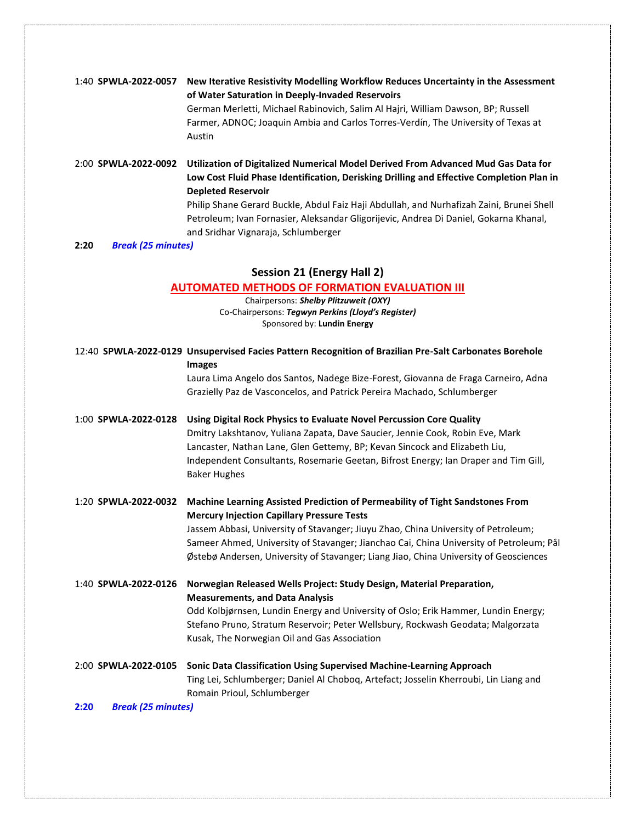| 1:40 SPWLA-2022-0057              | New Iterative Resistivity Modelling Workflow Reduces Uncertainty in the Assessment<br>of Water Saturation in Deeply-Invaded Reservoirs<br>German Merletti, Michael Rabinovich, Salim Al Hajri, William Dawson, BP; Russell<br>Farmer, ADNOC; Joaquin Ambia and Carlos Torres-Verdín, The University of Texas at<br>Austin                                                                                                              |
|-----------------------------------|----------------------------------------------------------------------------------------------------------------------------------------------------------------------------------------------------------------------------------------------------------------------------------------------------------------------------------------------------------------------------------------------------------------------------------------|
| 2:00 SPWLA-2022-0092              | Utilization of Digitalized Numerical Model Derived From Advanced Mud Gas Data for<br>Low Cost Fluid Phase Identification, Derisking Drilling and Effective Completion Plan in<br><b>Depleted Reservoir</b><br>Philip Shane Gerard Buckle, Abdul Faiz Haji Abdullah, and Nurhafizah Zaini, Brunei Shell<br>Petroleum; Ivan Fornasier, Aleksandar Gligorijevic, Andrea Di Daniel, Gokarna Khanal,<br>and Sridhar Vignaraja, Schlumberger |
| <b>Break (25 minutes)</b><br>2:20 |                                                                                                                                                                                                                                                                                                                                                                                                                                        |

# **Session 21 (Energy Hall 2)**

# **AUTOMATED METHODS OF FORMATION EVALUATION III**

Chairpersons: *Shelby Plitzuweit (OXY)* Co-Chairpersons: *Tegwyn Perkins (Lloyd's Register)* Sponsored by: **Lundin Energy**

|                                   | 12:40 SPWLA-2022-0129 Unsupervised Facies Pattern Recognition of Brazilian Pre-Salt Carbonates Borehole<br><b>Images</b> |
|-----------------------------------|--------------------------------------------------------------------------------------------------------------------------|
|                                   | Laura Lima Angelo dos Santos, Nadege Bize-Forest, Giovanna de Fraga Carneiro, Adna                                       |
|                                   | Grazielly Paz de Vasconcelos, and Patrick Pereira Machado, Schlumberger                                                  |
| 1:00 SPWLA-2022-0128              | Using Digital Rock Physics to Evaluate Novel Percussion Core Quality                                                     |
|                                   | Dmitry Lakshtanov, Yuliana Zapata, Dave Saucier, Jennie Cook, Robin Eve, Mark                                            |
|                                   | Lancaster, Nathan Lane, Glen Gettemy, BP; Kevan Sincock and Elizabeth Liu,                                               |
|                                   | Independent Consultants, Rosemarie Geetan, Bifrost Energy; Ian Draper and Tim Gill,<br><b>Baker Hughes</b>               |
| 1:20 SPWLA-2022-0032              | Machine Learning Assisted Prediction of Permeability of Tight Sandstones From                                            |
|                                   | <b>Mercury Injection Capillary Pressure Tests</b>                                                                        |
|                                   | Jassem Abbasi, University of Stavanger; Jiuyu Zhao, China University of Petroleum;                                       |
|                                   | Sameer Ahmed, University of Stavanger; Jianchao Cai, China University of Petroleum; Pål                                  |
|                                   | Østebø Andersen, University of Stavanger; Liang Jiao, China University of Geosciences                                    |
| 1:40 SPWLA-2022-0126              | Norwegian Released Wells Project: Study Design, Material Preparation,                                                    |
|                                   | <b>Measurements, and Data Analysis</b>                                                                                   |
|                                   | Odd Kolbjørnsen, Lundin Energy and University of Oslo; Erik Hammer, Lundin Energy;                                       |
|                                   | Stefano Pruno, Stratum Reservoir; Peter Wellsbury, Rockwash Geodata; Malgorzata                                          |
|                                   | Kusak, The Norwegian Oil and Gas Association                                                                             |
| 2:00 SPWLA-2022-0105              | Sonic Data Classification Using Supervised Machine-Learning Approach                                                     |
|                                   | Ting Lei, Schlumberger; Daniel Al Choboq, Artefact; Josselin Kherroubi, Lin Liang and                                    |
|                                   | Romain Prioul, Schlumberger                                                                                              |
| <b>Break (25 minutes)</b><br>2:20 |                                                                                                                          |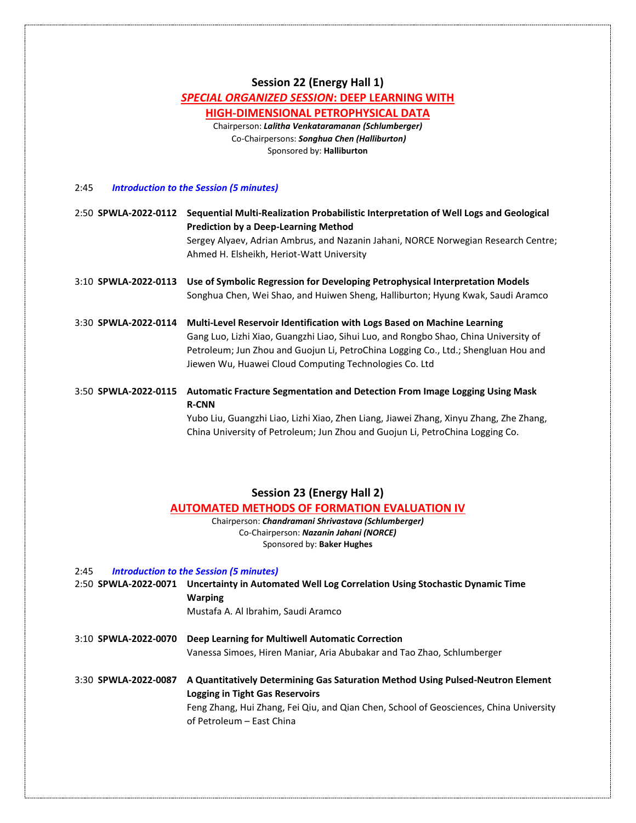#### **Session 22 (Energy Hall 1)**

#### *SPECIAL ORGANIZED SESSION***: DEEP LEARNING WITH**

## **HIGH-DIMENSIONAL PETROPHYSICAL DATA**

Chairperson: *Lalitha Venkataramanan (Schlumberger)* Co-Chairpersons: *Songhua Chen (Halliburton)* Sponsored by: **Halliburton**

#### 2:45 *Introduction to the Session (5 minutes)*

2:50 **SPWLA-2022-0112 Sequential Multi-Realization Probabilistic Interpretation of Well Logs and Geological Prediction by a Deep-Learning Method** Sergey Alyaev, Adrian Ambrus, and Nazanin Jahani, NORCE Norwegian Research Centre; Ahmed H. Elsheikh, Heriot-Watt University

3:10 **SPWLA-2022-0113 Use of Symbolic Regression for Developing Petrophysical Interpretation Models** Songhua Chen, Wei Shao, and Huiwen Sheng, Halliburton; Hyung Kwak, Saudi Aramco

3:30 **SPWLA-2022-0114 Multi-Level Reservoir Identification with Logs Based on Machine Learning** Gang Luo, Lizhi Xiao, Guangzhi Liao, Sihui Luo, and Rongbo Shao, China University of Petroleum; Jun Zhou and Guojun Li, PetroChina Logging Co., Ltd.; Shengluan Hou and Jiewen Wu, Huawei Cloud Computing Technologies Co. Ltd

3:50 **SPWLA-2022-0115 Automatic Fracture Segmentation and Detection From Image Logging Using Mask R-CNN**

Yubo Liu, Guangzhi Liao, Lizhi Xiao, Zhen Liang, Jiawei Zhang, Xinyu Zhang, Zhe Zhang, China University of Petroleum; Jun Zhou and Guojun Li, PetroChina Logging Co.

#### **Session 23 (Energy Hall 2)**

#### **AUTOMATED METHODS OF FORMATION EVALUATION IV**

Chairperson: *Chandramani Shrivastava (Schlumberger)* Co-Chairperson: *Nazanin Jahani (NORCE)* Sponsored by: **Baker Hughes**

| 2:45                 | <b>Introduction to the Session (5 minutes)</b> |                                                                                                  |
|----------------------|------------------------------------------------|--------------------------------------------------------------------------------------------------|
|                      |                                                | 2:50 SPWLA-2022-0071 Uncertainty in Automated Well Log Correlation Using Stochastic Dynamic Time |
|                      |                                                | <b>Warping</b>                                                                                   |
|                      |                                                | Mustafa A. Al Ibrahim, Saudi Aramco                                                              |
| 3:10 SPWLA-2022-0070 |                                                | Deep Learning for Multiwell Automatic Correction                                                 |
|                      |                                                | Vanessa Simoes, Hiren Maniar, Aria Abubakar and Tao Zhao, Schlumberger                           |
| 3:30 SPWLA-2022-0087 |                                                | A Quantitatively Determining Gas Saturation Method Using Pulsed-Neutron Element                  |
|                      |                                                | <b>Logging in Tight Gas Reservoirs</b>                                                           |
|                      |                                                | Feng Zhang, Hui Zhang, Fei Qiu, and Qian Chen, School of Geosciences, China University           |
|                      |                                                | of Petroleum – Fast China                                                                        |